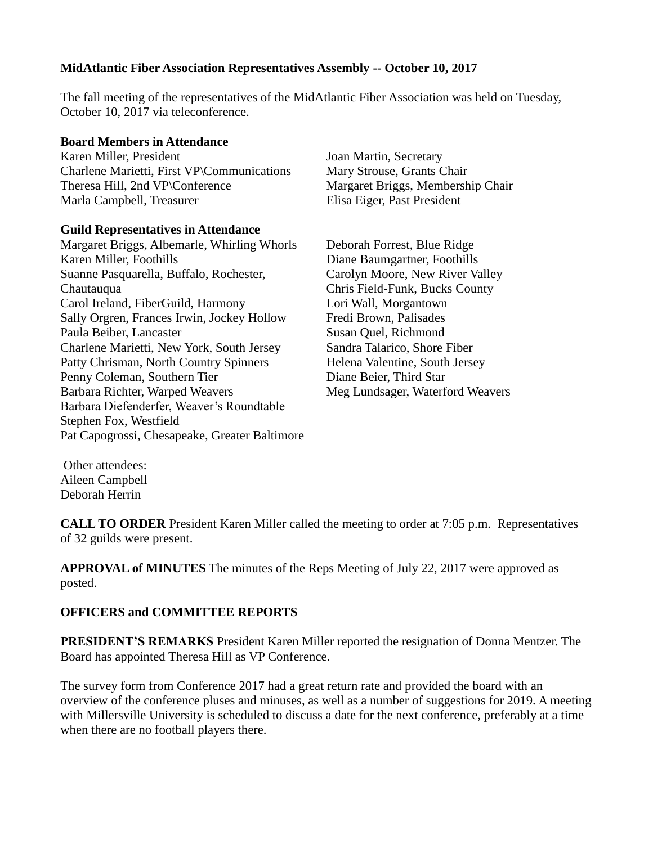## **MidAtlantic Fiber Association Representatives Assembly -- October 10, 2017**

The fall meeting of the representatives of the MidAtlantic Fiber Association was held on Tuesday, October 10, 2017 via teleconference.

## **Board Members in Attendance**

Karen Miller, President Charlene Marietti, First VP\Communications Theresa Hill, 2nd VP\Conference Marla Campbell, Treasurer

## **Guild Representatives in Attendance**

Margaret Briggs, Albemarle, Whirling Whorls Karen Miller, Foothills Suanne Pasquarella, Buffalo, Rochester, **Chautauqua** Carol Ireland, FiberGuild, Harmony Sally Orgren, Frances Irwin, Jockey Hollow Paula Beiber, Lancaster Charlene Marietti, New York, South Jersey Patty Chrisman, North Country Spinners Penny Coleman, Southern Tier Barbara Richter, Warped Weavers Barbara Diefenderfer, Weaver's Roundtable Stephen Fox, Westfield Pat Capogrossi, Chesapeake, Greater Baltimore Joan Martin, Secretary Mary Strouse, Grants Chair Margaret Briggs, Membership Chair Elisa Eiger, Past President

Deborah Forrest, Blue Ridge Diane Baumgartner, Foothills Carolyn Moore, New River Valley Chris Field-Funk, Bucks County Lori Wall, Morgantown Fredi Brown, Palisades Susan Quel, Richmond Sandra Talarico, Shore Fiber Helena Valentine, South Jersey Diane Beier, Third Star Meg Lundsager, Waterford Weavers

Other attendees: Aileen Campbell Deborah Herrin

**CALL TO ORDER** President Karen Miller called the meeting to order at 7:05 p.m. Representatives of 32 guilds were present.

**APPROVAL of MINUTES** The minutes of the Reps Meeting of July 22, 2017 were approved as posted.

## **OFFICERS and COMMITTEE REPORTS**

**PRESIDENT'S REMARKS** President Karen Miller reported the resignation of Donna Mentzer. The Board has appointed Theresa Hill as VP Conference.

The survey form from Conference 2017 had a great return rate and provided the board with an overview of the conference pluses and minuses, as well as a number of suggestions for 2019. A meeting with Millersville University is scheduled to discuss a date for the next conference, preferably at a time when there are no football players there.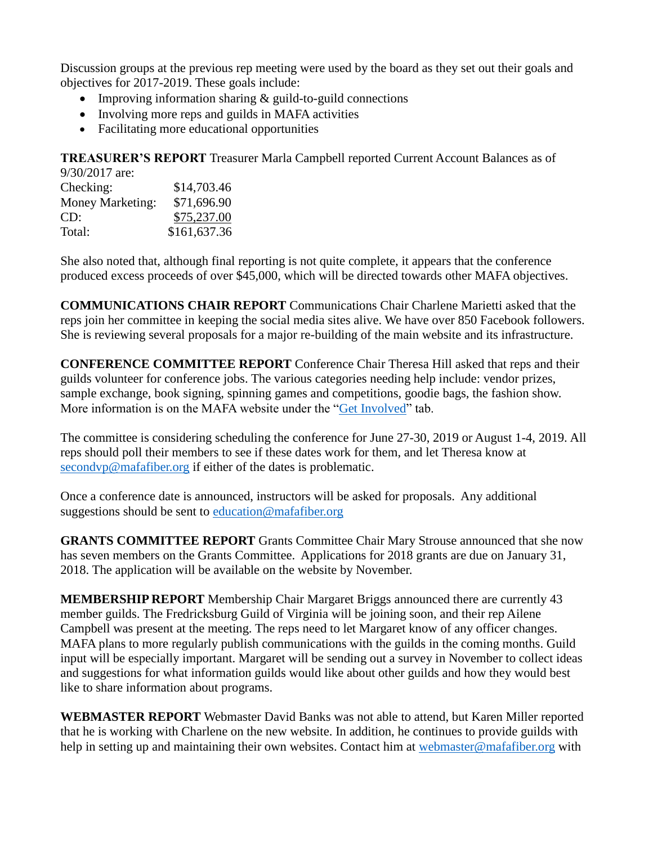Discussion groups at the previous rep meeting were used by the board as they set out their goals and objectives for 2017-2019. These goals include:

- Improving information sharing  $&$  guild-to-guild connections
- Involving more reps and guilds in MAFA activities
- Facilitating more educational opportunities

**TREASURER'S REPORT** Treasurer Marla Campbell reported Current Account Balances as of  $0/30/2017$  are:

| $7/30/201/1$ are. |              |
|-------------------|--------------|
| Checking:         | \$14,703.46  |
| Money Marketing:  | \$71,696.90  |
| CD:               | \$75,237.00  |
| Total:            | \$161,637.36 |

She also noted that, although final reporting is not quite complete, it appears that the conference produced excess proceeds of over \$45,000, which will be directed towards other MAFA objectives.

**COMMUNICATIONS CHAIR REPORT** Communications Chair Charlene Marietti asked that the reps join her committee in keeping the social media sites alive. We have over 850 Facebook followers. She is reviewing several proposals for a major re-building of the main website and its infrastructure.

**CONFERENCE COMMITTEE REPORT** Conference Chair Theresa Hill asked that reps and their guilds volunteer for conference jobs. The various categories needing help include: vendor prizes, sample exchange, book signing, spinning games and competitions, goodie bags, the fashion show. More information is on the MAFA website under the ["Get Involved"](http://www.mafafiber.williamsburgspinweave.org/wordpress/get-involved/) tab.

The committee is considering scheduling the conference for June 27-30, 2019 or August 1-4, 2019. All reps should poll their members to see if these dates work for them, and let Theresa know at [secondvp@mafafiber.org](mailto:secondvp@mafafiber.org) if either of the dates is problematic.

Once a conference date is announced, instructors will be asked for proposals. Any additional suggestions should be sent to [education@mafafiber.org](mailto:education@mafafiber.org)

**GRANTS COMMITTEE REPORT** Grants Committee Chair Mary Strouse announced that she now has seven members on the Grants Committee. Applications for 2018 grants are due on January 31, 2018. The application will be available on the website by November.

**MEMBERSHIP REPORT** Membership Chair Margaret Briggs announced there are currently 43 member guilds. The Fredricksburg Guild of Virginia will be joining soon, and their rep Ailene Campbell was present at the meeting. The reps need to let Margaret know of any officer changes. MAFA plans to more regularly publish communications with the guilds in the coming months. Guild input will be especially important. Margaret will be sending out a survey in November to collect ideas and suggestions for what information guilds would like about other guilds and how they would best like to share information about programs.

**WEBMASTER REPORT** Webmaster David Banks was not able to attend, but Karen Miller reported that he is working with Charlene on the new website. In addition, he continues to provide guilds with help in setting up and maintaining their own websites. Contact him at [webmaster@mafafiber.org](mailto:webmaster@mafafiber.org) with